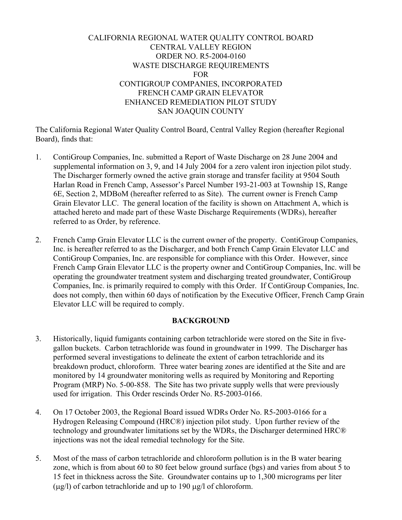# CALIFORNIA REGIONAL WATER QUALITY CONTROL BOARD CENTRAL VALLEY REGION ORDER NO. R5-2004-0160 WASTE DISCHARGE REQUIREMENTS FOR CONTIGROUP COMPANIES, INCORPORATED FRENCH CAMP GRAIN ELEVATOR ENHANCED REMEDIATION PILOT STUDY SAN JOAQUIN COUNTY

The California Regional Water Quality Control Board, Central Valley Region (hereafter Regional Board), finds that:

- 1. ContiGroup Companies, Inc. submitted a Report of Waste Discharge on 28 June 2004 and supplemental information on 3, 9, and 14 July 2004 for a zero valent iron injection pilot study. The Discharger formerly owned the active grain storage and transfer facility at 9504 South Harlan Road in French Camp, Assessor's Parcel Number 193-21-003 at Township 1S, Range 6E, Section 2, MDBoM (hereafter referred to as Site). The current owner is French Camp Grain Elevator LLC. The general location of the facility is shown on Attachment A, which is attached hereto and made part of these Waste Discharge Requirements (WDRs), hereafter referred to as Order, by reference.
- 2. French Camp Grain Elevator LLC is the current owner of the property. ContiGroup Companies, Inc. is hereafter referred to as the Discharger, and both French Camp Grain Elevator LLC and ContiGroup Companies, Inc. are responsible for compliance with this Order. However, since French Camp Grain Elevator LLC is the property owner and ContiGroup Companies, Inc. will be operating the groundwater treatment system and discharging treated groundwater, ContiGroup Companies, Inc. is primarily required to comply with this Order. If ContiGroup Companies, Inc. does not comply, then within 60 days of notification by the Executive Officer, French Camp Grain Elevator LLC will be required to comply.

## **BACKGROUND**

- 3. Historically, liquid fumigants containing carbon tetrachloride were stored on the Site in fivegallon buckets. Carbon tetrachloride was found in groundwater in 1999. The Discharger has performed several investigations to delineate the extent of carbon tetrachloride and its breakdown product, chloroform. Three water bearing zones are identified at the Site and are monitored by 14 groundwater monitoring wells as required by Monitoring and Reporting Program (MRP) No. 5-00-858. The Site has two private supply wells that were previously used for irrigation. This Order rescinds Order No. R5-2003-0166.
- 4. On 17 October 2003, the Regional Board issued WDRs Order No. R5-2003-0166 for a Hydrogen Releasing Compound (HRC®) injection pilot study. Upon further review of the technology and groundwater limitations set by the WDRs, the Discharger determined HRC® injections was not the ideal remedial technology for the Site.
- 5. Most of the mass of carbon tetrachloride and chloroform pollution is in the B water bearing zone, which is from about 60 to 80 feet below ground surface (bgs) and varies from about 5 to 15 feet in thickness across the Site. Groundwater contains up to 1,300 micrograms per liter  $(\mu g/l)$  of carbon tetrachloride and up to 190  $\mu g/l$  of chloroform.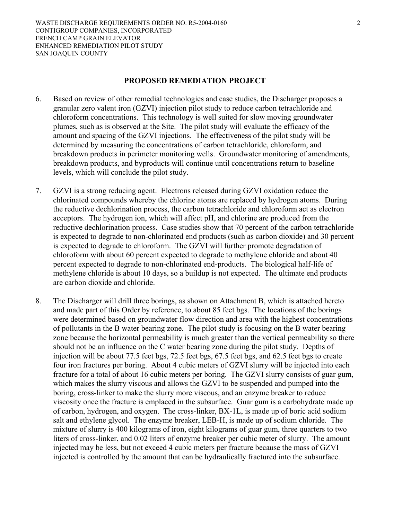#### **PROPOSED REMEDIATION PROJECT**

- 6. Based on review of other remedial technologies and case studies, the Discharger proposes a granular zero valent iron (GZVI) injection pilot study to reduce carbon tetrachloride and chloroform concentrations. This technology is well suited for slow moving groundwater plumes, such as is observed at the Site. The pilot study will evaluate the efficacy of the amount and spacing of the GZVI injections. The effectiveness of the pilot study will be determined by measuring the concentrations of carbon tetrachloride, chloroform, and breakdown products in perimeter monitoring wells. Groundwater monitoring of amendments, breakdown products, and byproducts will continue until concentrations return to baseline levels, which will conclude the pilot study.
- 7. GZVI is a strong reducing agent. Electrons released during GZVI oxidation reduce the chlorinated compounds whereby the chlorine atoms are replaced by hydrogen atoms. During the reductive dechlorination process, the carbon tetrachloride and chloroform act as electron acceptors. The hydrogen ion, which will affect pH, and chlorine are produced from the reductive dechlorination process. Case studies show that 70 percent of the carbon tetrachloride is expected to degrade to non-chlorinated end products (such as carbon dioxide) and 30 percent is expected to degrade to chloroform. The GZVI will further promote degradation of chloroform with about 60 percent expected to degrade to methylene chloride and about 40 percent expected to degrade to non-chlorinated end-products. The biological half-life of methylene chloride is about 10 days, so a buildup is not expected. The ultimate end products are carbon dioxide and chloride.
- 8. The Discharger will drill three borings, as shown on Attachment B, which is attached hereto and made part of this Order by reference, to about 85 feet bgs. The locations of the borings were determined based on groundwater flow direction and area with the highest concentrations of pollutants in the B water bearing zone. The pilot study is focusing on the B water bearing zone because the horizontal permeability is much greater than the vertical permeability so there should not be an influence on the C water bearing zone during the pilot study. Depths of injection will be about 77.5 feet bgs, 72.5 feet bgs, 67.5 feet bgs, and 62.5 feet bgs to create four iron fractures per boring. About 4 cubic meters of GZVI slurry will be injected into each fracture for a total of about 16 cubic meters per boring. The GZVI slurry consists of guar gum, which makes the slurry viscous and allows the GZVI to be suspended and pumped into the boring, cross-linker to make the slurry more viscous, and an enzyme breaker to reduce viscosity once the fracture is emplaced in the subsurface. Guar gum is a carbohydrate made up of carbon, hydrogen, and oxygen. The cross-linker, BX-1L, is made up of boric acid sodium salt and ethylene glycol. The enzyme breaker, LEB-H, is made up of sodium chloride. The mixture of slurry is 400 kilograms of iron, eight kilograms of guar gum, three quarters to two liters of cross-linker, and 0.02 liters of enzyme breaker per cubic meter of slurry. The amount injected may be less, but not exceed 4 cubic meters per fracture because the mass of GZVI injected is controlled by the amount that can be hydraulically fractured into the subsurface.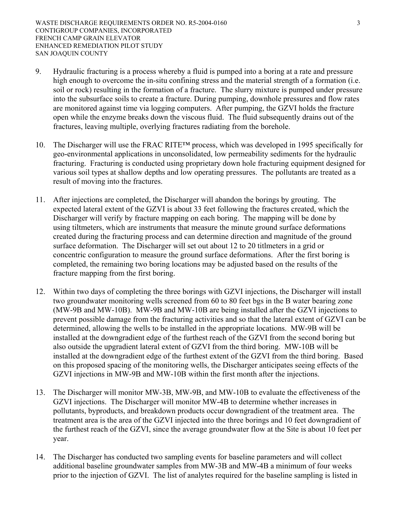- 9. Hydraulic fracturing is a process whereby a fluid is pumped into a boring at a rate and pressure high enough to overcome the in-situ confining stress and the material strength of a formation (i.e. soil or rock) resulting in the formation of a fracture. The slurry mixture is pumped under pressure into the subsurface soils to create a fracture. During pumping, downhole pressures and flow rates are monitored against time via logging computers. After pumping, the GZVI holds the fracture open while the enzyme breaks down the viscous fluid. The fluid subsequently drains out of the fractures, leaving multiple, overlying fractures radiating from the borehole.
- 10. The Discharger will use the FRAC RITE™ process, which was developed in 1995 specifically for geo-environmental applications in unconsolidated, low permeability sediments for the hydraulic fracturing. Fracturing is conducted using proprietary down hole fracturing equipment designed for various soil types at shallow depths and low operating pressures. The pollutants are treated as a result of moving into the fractures.
- 11. After injections are completed, the Discharger will abandon the borings by grouting. The expected lateral extent of the GZVI is about 33 feet following the fractures created, which the Discharger will verify by fracture mapping on each boring. The mapping will be done by using tiltmeters, which are instruments that measure the minute ground surface deformations created during the fracturing process and can determine direction and magnitude of the ground surface deformation. The Discharger will set out about 12 to 20 titlmeters in a grid or concentric configuration to measure the ground surface deformations. After the first boring is completed, the remaining two boring locations may be adjusted based on the results of the fracture mapping from the first boring.
- 12. Within two days of completing the three borings with GZVI injections, the Discharger will install two groundwater monitoring wells screened from 60 to 80 feet bgs in the B water bearing zone (MW-9B and MW-10B). MW-9B and MW-10B are being installed after the GZVI injections to prevent possible damage from the fracturing activities and so that the lateral extent of GZVI can be determined, allowing the wells to be installed in the appropriate locations. MW-9B will be installed at the downgradient edge of the furthest reach of the GZVI from the second boring but also outside the upgradient lateral extent of GZVI from the third boring. MW-10B will be installed at the downgradient edge of the furthest extent of the GZVI from the third boring. Based on this proposed spacing of the monitoring wells, the Discharger anticipates seeing effects of the GZVI injections in MW-9B and MW-10B within the first month after the injections.
- 13. The Discharger will monitor MW-3B, MW-9B, and MW-10B to evaluate the effectiveness of the GZVI injections. The Discharger will monitor MW-4B to determine whether increases in pollutants, byproducts, and breakdown products occur downgradient of the treatment area. The treatment area is the area of the GZVI injected into the three borings and 10 feet downgradient of the furthest reach of the GZVI, since the average groundwater flow at the Site is about 10 feet per year.
- 14. The Discharger has conducted two sampling events for baseline parameters and will collect additional baseline groundwater samples from MW-3B and MW-4B a minimum of four weeks prior to the injection of GZVI. The list of analytes required for the baseline sampling is listed in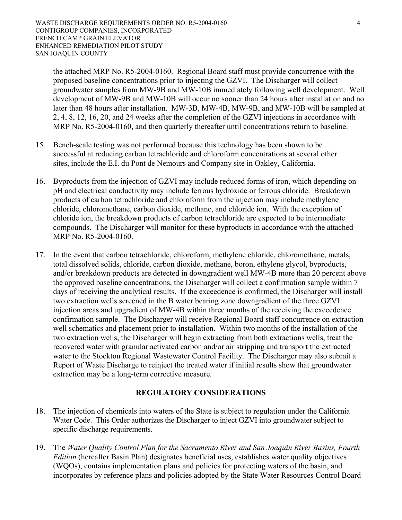the attached MRP No. R5-2004-0160. Regional Board staff must provide concurrence with the proposed baseline concentrations prior to injecting the GZVI. The Discharger will collect groundwater samples from MW-9B and MW-10B immediately following well development. Well development of MW-9B and MW-10B will occur no sooner than 24 hours after installation and no later than 48 hours after installation. MW-3B, MW-4B, MW-9B, and MW-10B will be sampled at 2, 4, 8, 12, 16, 20, and 24 weeks after the completion of the GZVI injections in accordance with MRP No. R5-2004-0160, and then quarterly thereafter until concentrations return to baseline.

- 15. Bench-scale testing was not performed because this technology has been shown to be successful at reducing carbon tetrachloride and chloroform concentrations at several other sites, include the E.I. du Pont de Nemours and Company site in Oakley, California.
- 16. Byproducts from the injection of GZVI may include reduced forms of iron, which depending on pH and electrical conductivity may include ferrous hydroxide or ferrous chloride. Breakdown products of carbon tetrachloride and chloroform from the injection may include methylene chloride, chloromethane, carbon dioxide, methane, and chloride ion. With the exception of chloride ion, the breakdown products of carbon tetrachloride are expected to be intermediate compounds. The Discharger will monitor for these byproducts in accordance with the attached MRP No. R5-2004-0160.
- 17. In the event that carbon tetrachloride, chloroform, methylene chloride, chloromethane, metals, total dissolved solids, chloride, carbon dioxide, methane, boron, ethylene glycol, byproducts, and/or breakdown products are detected in downgradient well MW-4B more than 20 percent above the approved baseline concentrations, the Discharger will collect a confirmation sample within 7 days of receiving the analytical results. If the exceedence is confirmed, the Discharger will install two extraction wells screened in the B water bearing zone downgradient of the three GZVI injection areas and upgradient of MW-4B within three months of the receiving the exceedence confirmation sample. The Discharger will receive Regional Board staff concurrence on extraction well schematics and placement prior to installation. Within two months of the installation of the two extraction wells, the Discharger will begin extracting from both extractions wells, treat the recovered water with granular activated carbon and/or air stripping and transport the extracted water to the Stockton Regional Wastewater Control Facility. The Discharger may also submit a Report of Waste Discharge to reinject the treated water if initial results show that groundwater extraction may be a long-term corrective measure.

## **REGULATORY CONSIDERATIONS**

- 18. The injection of chemicals into waters of the State is subject to regulation under the California Water Code. This Order authorizes the Discharger to inject GZVI into groundwater subject to specific discharge requirements.
- 19. The *Water Quality Control Plan for the Sacramento River and San Joaquin River Basins, Fourth Edition* (hereafter Basin Plan) designates beneficial uses, establishes water quality objectives (WQOs), contains implementation plans and policies for protecting waters of the basin, and incorporates by reference plans and policies adopted by the State Water Resources Control Board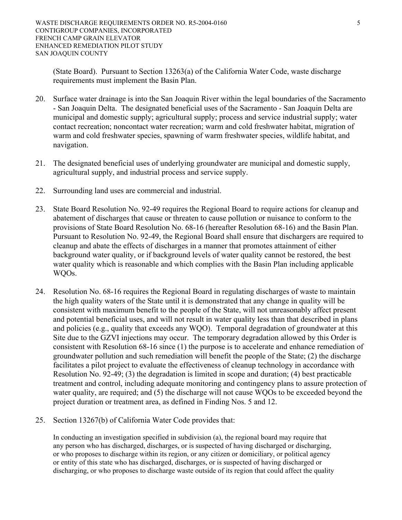(State Board). Pursuant to Section 13263(a) of the California Water Code, waste discharge requirements must implement the Basin Plan.

- 20. Surface water drainage is into the San Joaquin River within the legal boundaries of the Sacramento - San Joaquin Delta. The designated beneficial uses of the Sacramento - San Joaquin Delta are municipal and domestic supply; agricultural supply; process and service industrial supply; water contact recreation; noncontact water recreation; warm and cold freshwater habitat, migration of warm and cold freshwater species, spawning of warm freshwater species, wildlife habitat, and navigation.
- 21. The designated beneficial uses of underlying groundwater are municipal and domestic supply, agricultural supply, and industrial process and service supply.
- 22. Surrounding land uses are commercial and industrial.
- 23. State Board Resolution No. 92-49 requires the Regional Board to require actions for cleanup and abatement of discharges that cause or threaten to cause pollution or nuisance to conform to the provisions of State Board Resolution No. 68-16 (hereafter Resolution 68-16) and the Basin Plan. Pursuant to Resolution No. 92-49, the Regional Board shall ensure that dischargers are required to cleanup and abate the effects of discharges in a manner that promotes attainment of either background water quality, or if background levels of water quality cannot be restored, the best water quality which is reasonable and which complies with the Basin Plan including applicable WQOs.
- 24. Resolution No. 68-16 requires the Regional Board in regulating discharges of waste to maintain the high quality waters of the State until it is demonstrated that any change in quality will be consistent with maximum benefit to the people of the State, will not unreasonably affect present and potential beneficial uses, and will not result in water quality less than that described in plans and policies (e.g., quality that exceeds any WQO). Temporal degradation of groundwater at this Site due to the GZVI injections may occur. The temporary degradation allowed by this Order is consistent with Resolution 68-16 since (1) the purpose is to accelerate and enhance remediation of groundwater pollution and such remediation will benefit the people of the State; (2) the discharge facilitates a pilot project to evaluate the effectiveness of cleanup technology in accordance with Resolution No. 92-49; (3) the degradation is limited in scope and duration; (4) best practicable treatment and control, including adequate monitoring and contingency plans to assure protection of water quality, are required; and (5) the discharge will not cause WQOs to be exceeded beyond the project duration or treatment area, as defined in Finding Nos. 5 and 12.
- 25. Section 13267(b) of California Water Code provides that:

 In conducting an investigation specified in subdivision (a), the regional board may require that any person who has discharged, discharges, or is suspected of having discharged or discharging, or who proposes to discharge within its region, or any citizen or domiciliary, or political agency or entity of this state who has discharged, discharges, or is suspected of having discharged or discharging, or who proposes to discharge waste outside of its region that could affect the quality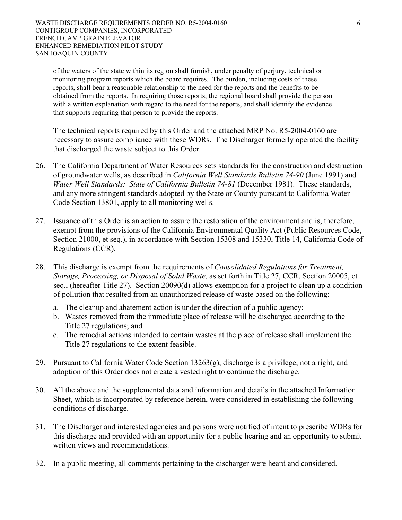of the waters of the state within its region shall furnish, under penalty of perjury, technical or monitoring program reports which the board requires. The burden, including costs of these reports, shall bear a reasonable relationship to the need for the reports and the benefits to be obtained from the reports. In requiring those reports, the regional board shall provide the person with a written explanation with regard to the need for the reports, and shall identify the evidence that supports requiring that person to provide the reports.

 The technical reports required by this Order and the attached MRP No. R5-2004-0160 are necessary to assure compliance with these WDRs. The Discharger formerly operated the facility that discharged the waste subject to this Order.

- 26. The California Department of Water Resources sets standards for the construction and destruction of groundwater wells, as described in *California Well Standards Bulletin 74-90* (June 1991) and *Water Well Standards: State of California Bulletin 74-81* (December 1981). These standards, and any more stringent standards adopted by the State or County pursuant to California Water Code Section 13801, apply to all monitoring wells.
- 27. Issuance of this Order is an action to assure the restoration of the environment and is, therefore, exempt from the provisions of the California Environmental Quality Act (Public Resources Code, Section 21000, et seq.), in accordance with Section 15308 and 15330, Title 14, California Code of Regulations (CCR).
- 28. This discharge is exempt from the requirements of *Consolidated Regulations for Treatment, Storage, Processing, or Disposal of Solid Waste,* as set forth in Title 27, CCR, Section 20005, et seq., (hereafter Title 27). Section 20090(d) allows exemption for a project to clean up a condition of pollution that resulted from an unauthorized release of waste based on the following:
	- a. The cleanup and abatement action is under the direction of a public agency;
	- b. Wastes removed from the immediate place of release will be discharged according to the Title 27 regulations; and
	- c. The remedial actions intended to contain wastes at the place of release shall implement the Title 27 regulations to the extent feasible.
- 29. Pursuant to California Water Code Section 13263(g), discharge is a privilege, not a right, and adoption of this Order does not create a vested right to continue the discharge.
- 30. All the above and the supplemental data and information and details in the attached Information Sheet, which is incorporated by reference herein, were considered in establishing the following conditions of discharge.
- 31. The Discharger and interested agencies and persons were notified of intent to prescribe WDRs for this discharge and provided with an opportunity for a public hearing and an opportunity to submit written views and recommendations.
- 32. In a public meeting, all comments pertaining to the discharger were heard and considered.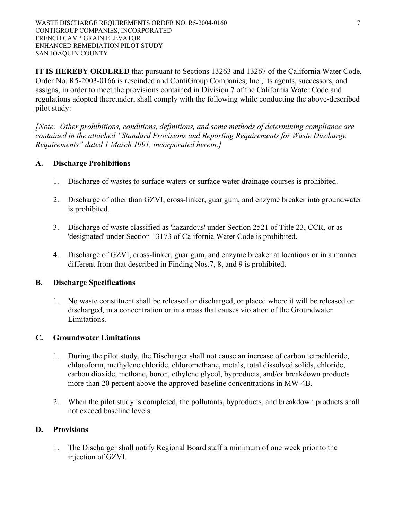**IT IS HEREBY ORDERED** that pursuant to Sections 13263 and 13267 of the California Water Code, Order No. R5-2003-0166 is rescinded and ContiGroup Companies, Inc., its agents, successors, and assigns, in order to meet the provisions contained in Division 7 of the California Water Code and regulations adopted thereunder, shall comply with the following while conducting the above-described pilot study:

*[Note: Other prohibitions, conditions, definitions, and some methods of determining compliance are contained in the attached "Standard Provisions and Reporting Requirements for Waste Discharge Requirements" dated 1 March 1991, incorporated herein.]* 

## **A. Discharge Prohibitions**

- 1. Discharge of wastes to surface waters or surface water drainage courses is prohibited.
- 2. Discharge of other than GZVI, cross-linker, guar gum, and enzyme breaker into groundwater is prohibited.
- 3. Discharge of waste classified as 'hazardous' under Section 2521 of Title 23, CCR, or as 'designated' under Section 13173 of California Water Code is prohibited.
- 4. Discharge of GZVI, cross-linker, guar gum, and enzyme breaker at locations or in a manner different from that described in Finding Nos.7, 8, and 9 is prohibited.

### **B. Discharge Specifications**

1. No waste constituent shall be released or discharged, or placed where it will be released or discharged, in a concentration or in a mass that causes violation of the Groundwater Limitations.

## **C. Groundwater Limitations**

- 1. During the pilot study, the Discharger shall not cause an increase of carbon tetrachloride, chloroform, methylene chloride, chloromethane, metals, total dissolved solids, chloride, carbon dioxide, methane, boron, ethylene glycol, byproducts, and/or breakdown products more than 20 percent above the approved baseline concentrations in MW-4B.
- 2. When the pilot study is completed, the pollutants, byproducts, and breakdown products shall not exceed baseline levels.

### **D. Provisions**

1. The Discharger shall notify Regional Board staff a minimum of one week prior to the injection of GZVI.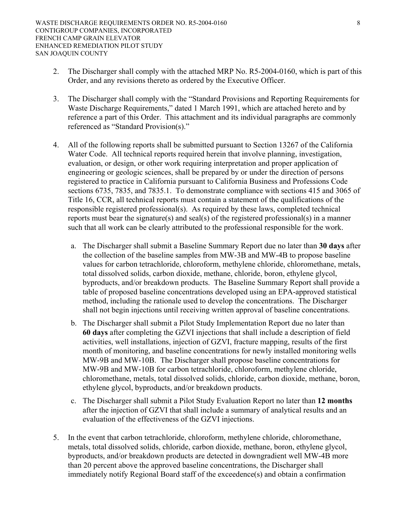- 2. The Discharger shall comply with the attached MRP No. R5-2004-0160, which is part of this Order, and any revisions thereto as ordered by the Executive Officer.
- 3. The Discharger shall comply with the "Standard Provisions and Reporting Requirements for Waste Discharge Requirements," dated 1 March 1991, which are attached hereto and by reference a part of this Order. This attachment and its individual paragraphs are commonly referenced as "Standard Provision(s)."
- 4. All of the following reports shall be submitted pursuant to Section 13267 of the California Water Code. All technical reports required herein that involve planning, investigation, evaluation, or design, or other work requiring interpretation and proper application of engineering or geologic sciences, shall be prepared by or under the direction of persons registered to practice in California pursuant to California Business and Professions Code sections 6735, 7835, and 7835.1. To demonstrate compliance with sections 415 and 3065 of Title 16, CCR, all technical reports must contain a statement of the qualifications of the responsible registered professional(s). As required by these laws, completed technical reports must bear the signature(s) and seal(s) of the registered professional(s) in a manner such that all work can be clearly attributed to the professional responsible for the work.
	- a. The Discharger shall submit a Baseline Summary Report due no later than **30 days** after the collection of the baseline samples from MW-3B and MW-4B to propose baseline values for carbon tetrachloride, chloroform, methylene chloride, chloromethane, metals, total dissolved solids, carbon dioxide, methane, chloride, boron, ethylene glycol, byproducts, and/or breakdown products. The Baseline Summary Report shall provide a table of proposed baseline concentrations developed using an EPA-approved statistical method, including the rationale used to develop the concentrations. The Discharger shall not begin injections until receiving written approval of baseline concentrations.
	- b. The Discharger shall submit a Pilot Study Implementation Report due no later than **60 days** after completing the GZVI injections that shall include a description of field activities, well installations, injection of GZVI, fracture mapping, results of the first month of monitoring, and baseline concentrations for newly installed monitoring wells MW-9B and MW-10B. The Discharger shall propose baseline concentrations for MW-9B and MW-10B for carbon tetrachloride, chloroform, methylene chloride, chloromethane, metals, total dissolved solids, chloride, carbon dioxide, methane, boron, ethylene glycol, byproducts, and/or breakdown products.
	- c. The Discharger shall submit a Pilot Study Evaluation Report no later than **12 months** after the injection of GZVI that shall include a summary of analytical results and an evaluation of the effectiveness of the GZVI injections.
- 5. In the event that carbon tetrachloride, chloroform, methylene chloride, chloromethane, metals, total dissolved solids, chloride, carbon dioxide, methane, boron, ethylene glycol, byproducts, and/or breakdown products are detected in downgradient well MW-4B more than 20 percent above the approved baseline concentrations, the Discharger shall immediately notify Regional Board staff of the exceedence(s) and obtain a confirmation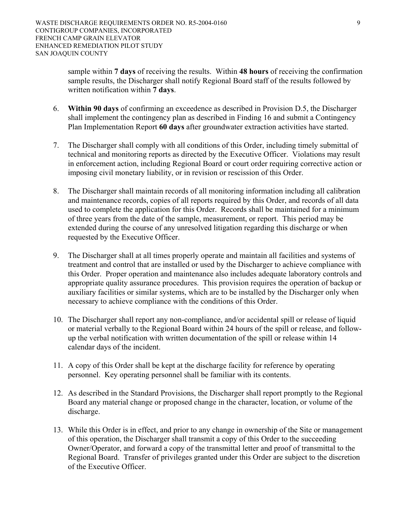sample within **7 days** of receiving the results. Within **48 hours** of receiving the confirmation sample results, the Discharger shall notify Regional Board staff of the results followed by written notification within **7 days**.

- 6. **Within 90 days** of confirming an exceedence as described in Provision D.5, the Discharger shall implement the contingency plan as described in Finding 16 and submit a Contingency Plan Implementation Report **60 days** after groundwater extraction activities have started.
- 7. The Discharger shall comply with all conditions of this Order, including timely submittal of technical and monitoring reports as directed by the Executive Officer. Violations may result in enforcement action, including Regional Board or court order requiring corrective action or imposing civil monetary liability, or in revision or rescission of this Order.
- 8. The Discharger shall maintain records of all monitoring information including all calibration and maintenance records, copies of all reports required by this Order, and records of all data used to complete the application for this Order. Records shall be maintained for a minimum of three years from the date of the sample, measurement, or report. This period may be extended during the course of any unresolved litigation regarding this discharge or when requested by the Executive Officer.
- 9. The Discharger shall at all times properly operate and maintain all facilities and systems of treatment and control that are installed or used by the Discharger to achieve compliance with this Order. Proper operation and maintenance also includes adequate laboratory controls and appropriate quality assurance procedures. This provision requires the operation of backup or auxiliary facilities or similar systems, which are to be installed by the Discharger only when necessary to achieve compliance with the conditions of this Order.
- 10. The Discharger shall report any non-compliance, and/or accidental spill or release of liquid or material verbally to the Regional Board within 24 hours of the spill or release, and followup the verbal notification with written documentation of the spill or release within 14 calendar days of the incident.
- 11. A copy of this Order shall be kept at the discharge facility for reference by operating personnel. Key operating personnel shall be familiar with its contents.
- 12. As described in the Standard Provisions, the Discharger shall report promptly to the Regional Board any material change or proposed change in the character, location, or volume of the discharge.
- 13. While this Order is in effect, and prior to any change in ownership of the Site or management of this operation, the Discharger shall transmit a copy of this Order to the succeeding Owner/Operator, and forward a copy of the transmittal letter and proof of transmittal to the Regional Board. Transfer of privileges granted under this Order are subject to the discretion of the Executive Officer.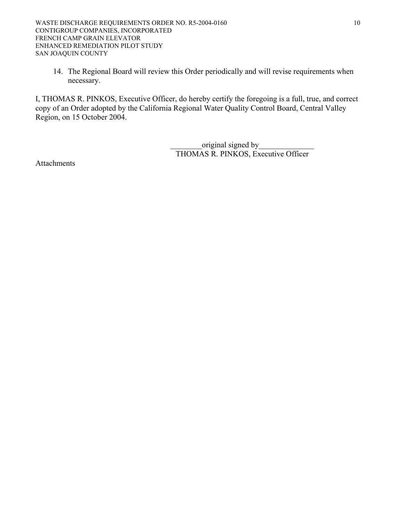14. The Regional Board will review this Order periodically and will revise requirements when necessary.

I, THOMAS R. PINKOS, Executive Officer, do hereby certify the foregoing is a full, true, and correct copy of an Order adopted by the California Regional Water Quality Control Board, Central Valley Region, on 15 October 2004.

> original signed by THOMAS R. PINKOS, Executive Officer

Attachments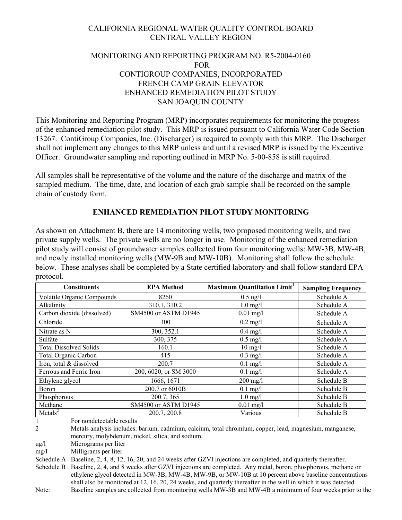# CALIFORNIA REGIONAL WATER QUALITY CONTROL BOARD CENTRAL VALLEY REGION

## MONITORING AND REPORTING PROGRAM NO. R5-2004-0160 FOR CONTIGROUP COMPANIES, INCORPORATED FRENCH CAMP GRAIN ELEVATOR ENHANCED REMEDIATION PILOT STUDY SAN JOAQUIN COUNTY

This Monitoring and Reporting Program (MRP) incorporates requirements for monitoring the progress of the enhanced remediation pilot study. This MRP is issued pursuant to California Water Code Section 13267. ContiGroup Companies, Inc. (Discharger) is required to comply with this MRP. The Discharger shall not implement any changes to this MRP unless and until a revised MRP is issued by the Executive Officer. Groundwater sampling and reporting outlined in MRP No. 5-00-858 is still required.

All samples shall be representative of the volume and the nature of the discharge and matrix of the sampled medium. The time, date, and location of each grab sample shall be recorded on the sample chain of custody form.

### **ENHANCED REMEDIATION PILOT STUDY MONITORING**

As shown on Attachment B, there are 14 monitoring wells, two proposed monitoring wells, and two private supply wells. The private wells are no longer in use. Monitoring of the enhanced remediation pilot study will consist of groundwater samples collected from four monitoring wells: MW-3B, MW-4B, and newly installed monitoring wells (MW-9B and MW-10B). Monitoring shall follow the schedule below. These analyses shall be completed by a State certified laboratory and shall follow standard EPA protocol.

| <b>Constituents</b>           | <b>EPA Method</b>     | <b>Maximum Quantitation Limit</b> <sup>1</sup> | <b>Sampling Frequency</b> |
|-------------------------------|-----------------------|------------------------------------------------|---------------------------|
| Volatile Organic Compounds    | 8260                  | $0.5 \text{ ug}/l$                             | Schedule A                |
| Alkalinity                    | 310.1, 310.2          | $1.0 \text{ mg}/l$                             | Schedule A                |
| Carbon dioxide (dissolved)    | SM4500 or ASTM D1945  | $0.01$ mg/l                                    | Schedule A                |
| Chloride                      | 300                   | $0.2 \text{ mg}/l$                             | Schedule A                |
| Nitrate as N                  | 300, 352.1            | $0.4$ mg/l                                     | Schedule A                |
| Sulfate                       | 300, 375              | $0.5$ mg/l                                     | Schedule A                |
| <b>Total Dissolved Solids</b> | 160.1                 | $10 \text{ mg/l}$                              | Schedule A                |
| <b>Total Organic Carbon</b>   | 415                   | $0.3$ mg/l                                     | Schedule A                |
| Iron, total & dissolved       | 200.7                 | $0.1$ mg/l                                     | Schedule A                |
| Ferrous and Ferric Iron       | 200, 6020, or SM 3000 | $0.1 \text{ mg}/1$                             | Schedule A                |
| Ethylene glycol               | 1666, 1671            | $200$ mg/l                                     | Schedule B                |
| Boron                         | 200.7 or 6010B        | $0.1 \text{ mg}/1$                             | Schedule B                |
| Phosphorous                   | 200.7, 365            | $1.0$ mg/l                                     | Schedule B                |
| Methane                       | SM4500 or ASTM D1945  | $0.01$ mg/l                                    | Schedule B                |
| Metals <sup>2</sup>           | 200.7, 200.8          | Various                                        | Schedule B                |

1 For nondetectable results

2 Metals analysis includes: barium, cadmium, calcium, total chromium, copper, lead, magnesium, manganese, mercury, molybdenum, nickel, silica, and sodium.

ug/l Micrograms per liter

mg/l Milligrams per liter

Schedule A Baseline, 2, 4, 8, 12, 16, 20, and 24 weeks after GZVI injections are completed, and quarterly thereafter.

Schedule B Baseline, 2, 4, and 8 weeks after GZVI injections are completed. Any metal, boron, phosphorous, methane or ethylene glycol detected in MW-3B, MW-4B, MW-9B, or MW-10B at 10 percent above baseline concentrations shall also be monitored at 12, 16, 20, 24 weeks, and quarterly thereafter in the well in which it was detected. Note: Baseline samples are collected from monitoring wells MW-3B and MW-4B a minimum of four weeks prior to the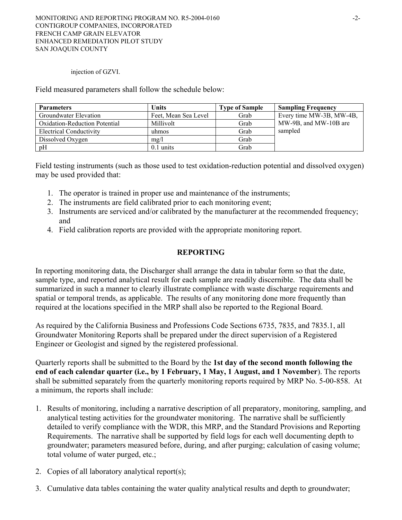injection of GZVI.

Field measured parameters shall follow the schedule below:

| <b>Parameters</b>             | Units                | <b>Type of Sample</b> | <b>Sampling Frequency</b> |
|-------------------------------|----------------------|-----------------------|---------------------------|
| Groundwater Elevation         | Feet, Mean Sea Level | Grab                  | Every time MW-3B, MW-4B,  |
| Oxidation-Reduction Potential | Millivolt            | Grab                  | MW-9B, and MW-10B are     |
| Electrical Conductivity       | uhmos                | Grab                  | sampled                   |
| Dissolved Oxygen              | mg/l                 | Grab                  |                           |
| pH                            | $0.1 \text{ units}$  | Grab                  |                           |

Field testing instruments (such as those used to test oxidation-reduction potential and dissolved oxygen) may be used provided that:

- 1. The operator is trained in proper use and maintenance of the instruments;
- 2. The instruments are field calibrated prior to each monitoring event;
- 3. Instruments are serviced and/or calibrated by the manufacturer at the recommended frequency; and
- 4. Field calibration reports are provided with the appropriate monitoring report.

# **REPORTING**

In reporting monitoring data, the Discharger shall arrange the data in tabular form so that the date, sample type, and reported analytical result for each sample are readily discernible. The data shall be summarized in such a manner to clearly illustrate compliance with waste discharge requirements and spatial or temporal trends, as applicable. The results of any monitoring done more frequently than required at the locations specified in the MRP shall also be reported to the Regional Board.

As required by the California Business and Professions Code Sections 6735, 7835, and 7835.1, all Groundwater Monitoring Reports shall be prepared under the direct supervision of a Registered Engineer or Geologist and signed by the registered professional.

Quarterly reports shall be submitted to the Board by the **1st day of the second month following the end of each calendar quarter (i.e., by 1 February, 1 May, 1 August, and 1 November**). The reports shall be submitted separately from the quarterly monitoring reports required by MRP No. 5-00-858. At a minimum, the reports shall include:

- 1. Results of monitoring, including a narrative description of all preparatory, monitoring, sampling, and analytical testing activities for the groundwater monitoring. The narrative shall be sufficiently detailed to verify compliance with the WDR, this MRP, and the Standard Provisions and Reporting Requirements. The narrative shall be supported by field logs for each well documenting depth to groundwater; parameters measured before, during, and after purging; calculation of casing volume; total volume of water purged, etc.;
- 2. Copies of all laboratory analytical report(s);
- 3. Cumulative data tables containing the water quality analytical results and depth to groundwater;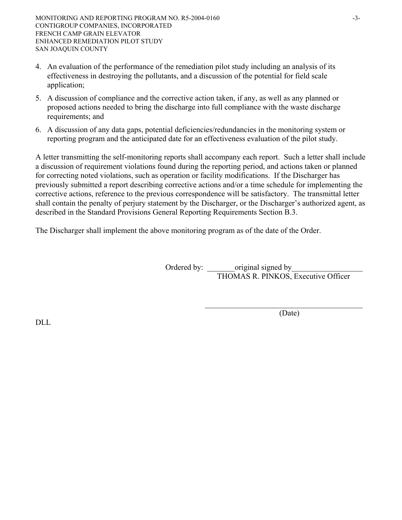- 4. An evaluation of the performance of the remediation pilot study including an analysis of its effectiveness in destroying the pollutants, and a discussion of the potential for field scale application;
- 5. A discussion of compliance and the corrective action taken, if any, as well as any planned or proposed actions needed to bring the discharge into full compliance with the waste discharge requirements; and
- 6. A discussion of any data gaps, potential deficiencies/redundancies in the monitoring system or reporting program and the anticipated date for an effectiveness evaluation of the pilot study.

A letter transmitting the self-monitoring reports shall accompany each report. Such a letter shall include a discussion of requirement violations found during the reporting period, and actions taken or planned for correcting noted violations, such as operation or facility modifications. If the Discharger has previously submitted a report describing corrective actions and/or a time schedule for implementing the corrective actions, reference to the previous correspondence will be satisfactory. The transmittal letter shall contain the penalty of perjury statement by the Discharger, or the Discharger's authorized agent, as described in the Standard Provisions General Reporting Requirements Section B.3.

 $\mathcal{L}_\mathcal{L} = \{ \mathcal{L}_\mathcal{L} \mid \mathcal{L}_\mathcal{L} \in \mathcal{L}_\mathcal{L} \}$ 

The Discharger shall implement the above monitoring program as of the date of the Order.

Ordered by: original signed by THOMAS R. PINKOS, Executive Officer

(Date)

DLL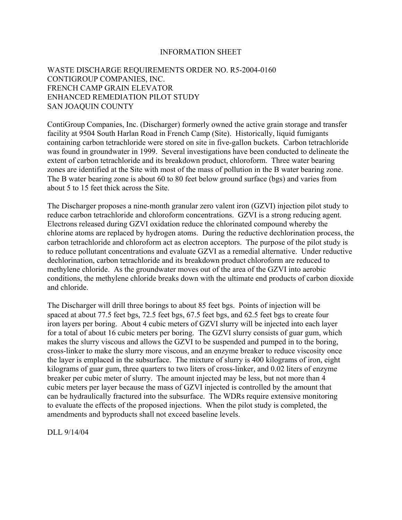#### INFORMATION SHEET

### WASTE DISCHARGE REQUIREMENTS ORDER NO. R5-2004-0160 CONTIGROUP COMPANIES, INC. FRENCH CAMP GRAIN ELEVATOR ENHANCED REMEDIATION PILOT STUDY SAN JOAQUIN COUNTY

ContiGroup Companies, Inc. (Discharger) formerly owned the active grain storage and transfer facility at 9504 South Harlan Road in French Camp (Site). Historically, liquid fumigants containing carbon tetrachloride were stored on site in five-gallon buckets. Carbon tetrachloride was found in groundwater in 1999. Several investigations have been conducted to delineate the extent of carbon tetrachloride and its breakdown product, chloroform. Three water bearing zones are identified at the Site with most of the mass of pollution in the B water bearing zone. The B water bearing zone is about 60 to 80 feet below ground surface (bgs) and varies from about 5 to 15 feet thick across the Site.

The Discharger proposes a nine-month granular zero valent iron (GZVI) injection pilot study to reduce carbon tetrachloride and chloroform concentrations. GZVI is a strong reducing agent. Electrons released during GZVI oxidation reduce the chlorinated compound whereby the chlorine atoms are replaced by hydrogen atoms. During the reductive dechlorination process, the carbon tetrachloride and chloroform act as electron acceptors. The purpose of the pilot study is to reduce pollutant concentrations and evaluate GZVI as a remedial alternative. Under reductive dechlorination, carbon tetrachloride and its breakdown product chloroform are reduced to methylene chloride. As the groundwater moves out of the area of the GZVI into aerobic conditions, the methylene chloride breaks down with the ultimate end products of carbon dioxide and chloride.

The Discharger will drill three borings to about 85 feet bgs. Points of injection will be spaced at about 77.5 feet bgs, 72.5 feet bgs, 67.5 feet bgs, and 62.5 feet bgs to create four iron layers per boring. About 4 cubic meters of GZVI slurry will be injected into each layer for a total of about 16 cubic meters per boring. The GZVI slurry consists of guar gum, which makes the slurry viscous and allows the GZVI to be suspended and pumped in to the boring, cross-linker to make the slurry more viscous, and an enzyme breaker to reduce viscosity once the layer is emplaced in the subsurface. The mixture of slurry is 400 kilograms of iron, eight kilograms of guar gum, three quarters to two liters of cross-linker, and 0.02 liters of enzyme breaker per cubic meter of slurry. The amount injected may be less, but not more than 4 cubic meters per layer because the mass of GZVI injected is controlled by the amount that can be hydraulically fractured into the subsurface. The WDRs require extensive monitoring to evaluate the effects of the proposed injections. When the pilot study is completed, the amendments and byproducts shall not exceed baseline levels.

DLL 9/14/04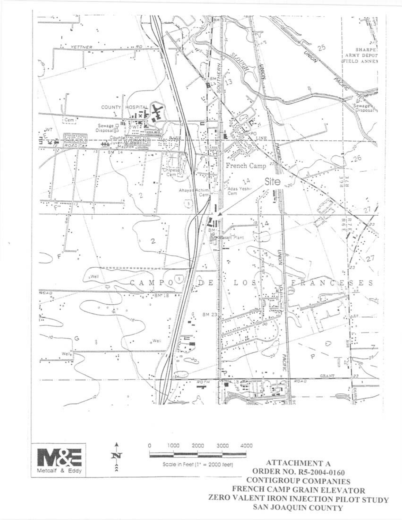

SAN JOAQUIN COUNTY